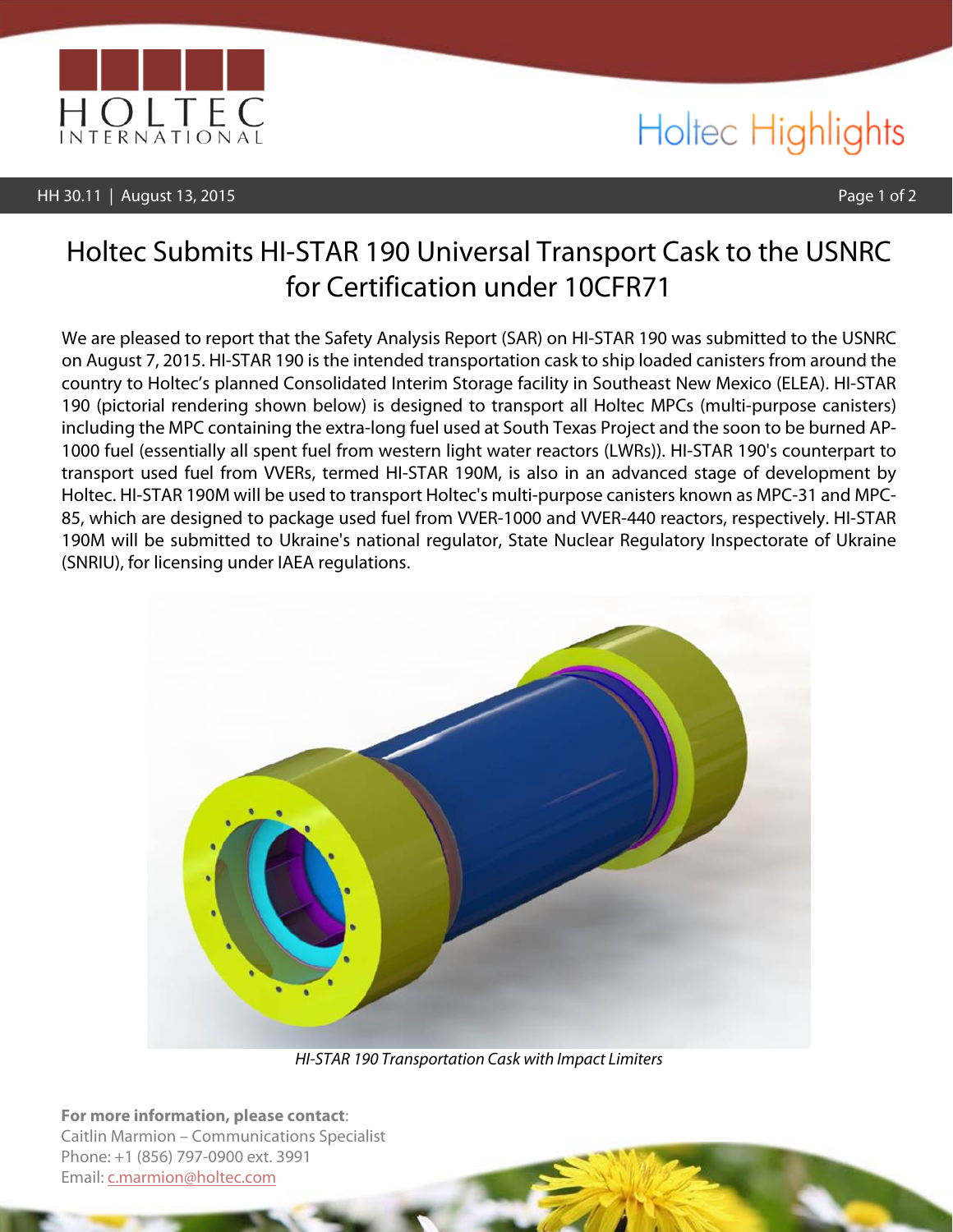

### HH 30.11 | August 13, 2015 Page 1 of 2

# Holtec Highlights

## Holtec Submits HI-STAR 190 Universal Transport Cask to the USNRC for Certification under 10CFR71

We are pleased to report that the Safety Analysis Report (SAR) on HI-STAR 190 was submitted to the USNRC on August 7, 2015. HI-STAR 190 is the intended transportation cask to ship loaded canisters from around the country to Holtec's planned Consolidated Interim Storage facility in Southeast New Mexico (ELEA). HI-STAR 190 (pictorial rendering shown below) is designed to transport all Holtec MPCs (multi-purpose canisters) including the MPC containing the extra-long fuel used at South Texas Project and the soon to be burned AP-1000 fuel (essentially all spent fuel from western light water reactors (LWRs)). HI-STAR 190's counterpart to transport used fuel from VVERs, termed HI-STAR 190M, is also in an advanced stage of development by Holtec. HI-STAR 190M will be used to transport Holtec's multi-purpose canisters known as MPC-31 and MPC-85, which are designed to package used fuel from VVER-1000 and VVER-440 reactors, respectively. HI-STAR 190M will be submitted to Ukraine's national regulator, State Nuclear Regulatory Inspectorate of Ukraine (SNRIU), for licensing under IAEA regulations.



*HI-STAR 190 Transportation Cask with Impact Limiters*

**For more information, please contact**: Caitlin Marmion – Communications Specialist Phone: +1 (856) 797-0900 ext. 3991 Email: [c.marmion@holtec.com](mailto:c.marmion@holtec.com)